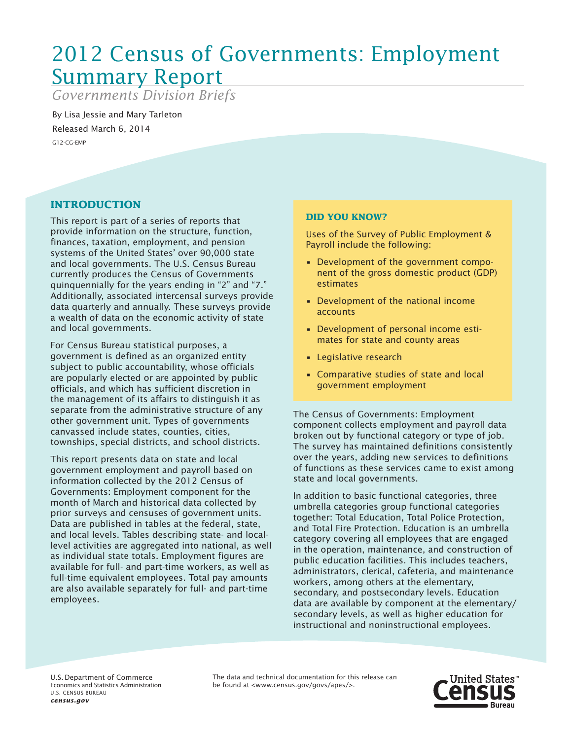# 2012 Census of Governments: Employment Summary Report

*Governments Division Briefs*

By Lisa Jessie and Mary Tarleton Released March 6, 2014 G12-CG-EMP

## **INTRODUCTION**

This report is part of a series of reports that provide information on the structure, function, finances, taxation, employment, and pension systems of the United States' over 90,000 state and local governments. The U.S. Census Bureau currently produces the Census of Governments quinquennially for the years ending in "2" and "7." Additionally, associated intercensal surveys provide data quarterly and annually. These surveys provide a wealth of data on the economic activity of state and local governments.

For Census Bureau statistical purposes, a government is defined as an organized entity subject to public accountability, whose officials are popularly elected or are appointed by public officials, and which has sufficient discretion in the management of its affairs to distinguish it as separate from the administrative structure of any other government unit. Types of governments canvassed include states, counties, cities, townships, special districts, and school districts.

This report presents data on state and local government employment and payroll based on information collected by the 2012 Census of Governments: Employment component for the month of March and historical data collected by prior surveys and censuses of government units. Data are published in tables at the federal, state, and local levels. Tables describing state- and locallevel activities are aggregated into national, as well as individual state totals. Employment figures are available for full- and part-time workers, as well as full-time equivalent employees. Total pay amounts are also available separately for full- and part-time employees.

## **DID YOU KNOW?**

Uses of the Survey of Public Employment & Payroll include the following:

- • Development of the government component of the gross domestic product (GDP) estimates
- • Development of the national income accounts
- • Development of personal income estimates for state and county areas
- • Legislative research
- • Comparative studies of state and local government employment

The Census of Governments: Employment component collects employment and payroll data broken out by functional category or type of job. The survey has maintained definitions consistently over the years, adding new services to definitions of functions as these services came to exist among state and local governments.

In addition to basic functional categories, three umbrella categories group functional categories together: Total Education, Total Police Protection, and Total Fire Protection. Education is an umbrella category covering all employees that are engaged in the operation, maintenance, and construction of public education facilities. This includes teachers, administrators, clerical, cafeteria, and maintenance workers, among others at the elementary, secondary, and postsecondary levels. Education data are available by component at the elementary/ secondary levels, as well as higher education for instructional and noninstructional employees.

U.S. Department of Commerce Economics and Statistics Administration U.S. CENSUS BUREAU *census.gov*

The data and technical documentation for this release can be found at <www.census.gov/govs/apes/>.

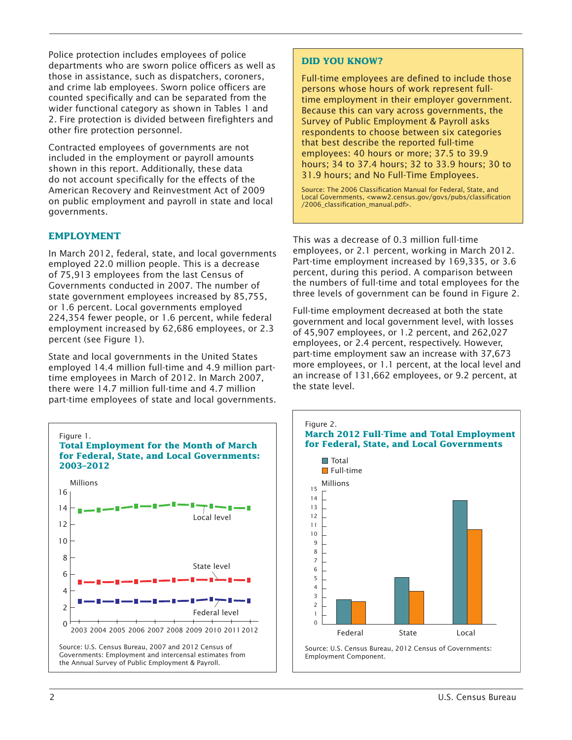Police protection includes employees of police departments who are sworn police officers as well as those in assistance, such as dispatchers, coroners, and crime lab employees. Sworn police officers are counted specifically and can be separated from the wider functional category as shown in Tables 1 and 2. Fire protection is divided between firefighters and other fire protection personnel.

Contracted employees of governments are not included in the employment or payroll amounts shown in this report. Additionally, these data do not account specifically for the effects of the American Recovery and Reinvestment Act of 2009 on public employment and payroll in state and local governments.

#### **EMPLOYMENT**

In March 2012, federal, state, and local governments employed 22.0 million people. This is a decrease of 75,913 employees from the last Census of Governments conducted in 2007. The number of state government employees increased by 85,755, or 1.6 percent. Local governments employed 224,354 fewer people, or 1.6 percent, while federal employment increased by 62,686 employees, or 2.3 percent (see Figure 1).

State and local governments in the United States employed 14.4 million full-time and 4.9 million parttime employees in March of 2012. In March 2007, there were 14.7 million full-time and 4.7 million part-time employees of state and local governments.



## **DID YOU KNOW?**

Full-time employees are defined to include those persons whose hours of work represent fulltime employment in their employer government. Because this can vary across governments, the Survey of Public Employment & Payroll asks respondents to choose between six categories that best describe the reported full-time employees: 40 hours or more; 37.5 to 39.9 hours; 34 to 37.4 hours; 32 to 33.9 hours; 30 to 31.9 hours; and No Full-Time Employees.

Source: The 2006 Classification Manual for Federal, State, and Local Governments, <www2.census.gov/govs/pubs/classification /2006\_classification\_manual.pdf>.

This was a decrease of 0.3 million full-time employees, or 2.1 percent, working in March 2012. Part-time employment increased by 169,335, or 3.6 percent, during this period. A comparison between the numbers of full-time and total employees for the three levels of government can be found in Figure 2.

Full-time employment decreased at both the state government and local government level, with losses of 45,907 employees, or 1.2 percent, and 262,027 employees, or 2.4 percent, respectively. However, part-time employment saw an increase with 37,673 more employees, or 1.1 percent, at the local level and an increase of 131,662 employees, or 9.2 percent, at the state level.

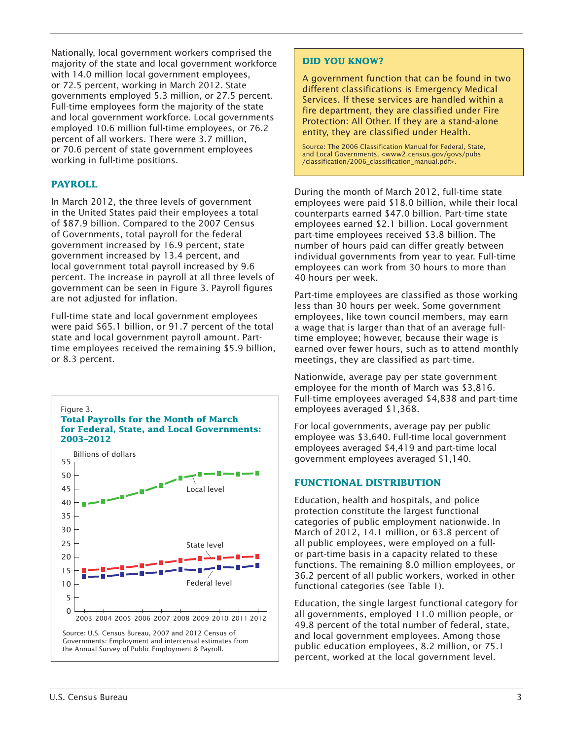Nationally, local government workers comprised the majority of the state and local government workforce with 14.0 million local government employees, or 72.5 percent, working in March 2012. State governments employed 5.3 million, or 27.5 percent. Full-time employees form the majority of the state and local government workforce. Local governments employed 10.6 million full-time employees, or 76.2 percent of all workers. There were 3.7 million, or 70.6 percent of state government employees working in full-time positions.

## **PAYROLL**

In March 2012, the three levels of government in the United States paid their employees a total of \$87.9 billion. Compared to the 2007 Census of Governments, total payroll for the federal government increased by 16.9 percent, state government increased by 13.4 percent, and local government total payroll increased by 9.6 percent. The increase in payroll at all three levels of government can be seen in Figure 3. Payroll figures are not adjusted for inflation.

Full-time state and local government employees were paid \$65.1 billion, or 91.7 percent of the total state and local government payroll amount. Parttime employees received the remaining \$5.9 billion, or 8.3 percent.



## **DID YOU KNOW?**

A government function that can be found in two different classifications is Emergency Medical Services. If these services are handled within a fire department, they are classified under Fire Protection: All Other. If they are a stand-alone entity, they are classified under Health.

Source: The 2006 Classification Manual for Federal, State, and Local Governments, <www2.census.gov/govs/pubs /classification/2006\_classification\_manual.pdf>.

During the month of March 2012, full-time state employees were paid \$18.0 billion, while their local counterparts earned \$47.0 billion. Part-time state employees earned \$2.1 billion. Local government part-time employees received \$3.8 billion. The number of hours paid can differ greatly between individual governments from year to year. Full-time employees can work from 30 hours to more than 40 hours per week.

Part-time employees are classified as those working less than 30 hours per week. Some government employees, like town council members, may earn a wage that is larger than that of an average fulltime employee; however, because their wage is earned over fewer hours, such as to attend monthly meetings, they are classified as part-time.

Nationwide, average pay per state government employee for the month of March was \$3,816. Full-time employees averaged \$4,838 and part-time employees averaged \$1,368.

For local governments, average pay per public employee was \$3,640. Full-time local government employees averaged \$4,419 and part-time local government employees averaged \$1,140.

## **FUNCTIONAL DISTRIBUTION**

Education, health and hospitals, and police protection constitute the largest functional categories of public employment nationwide. In March of 2012, 14.1 million, or 63.8 percent of all public employees, were employed on a fullor part-time basis in a capacity related to these functions. The remaining 8.0 million employees, or 36.2 percent of all public workers, worked in other functional categories (see Table 1).

Education, the single largest functional category for all governments, employed 11.0 million people, or 49.8 percent of the total number of federal, state, and local government employees. Among those public education employees, 8.2 million, or 75.1 percent, worked at the local government level.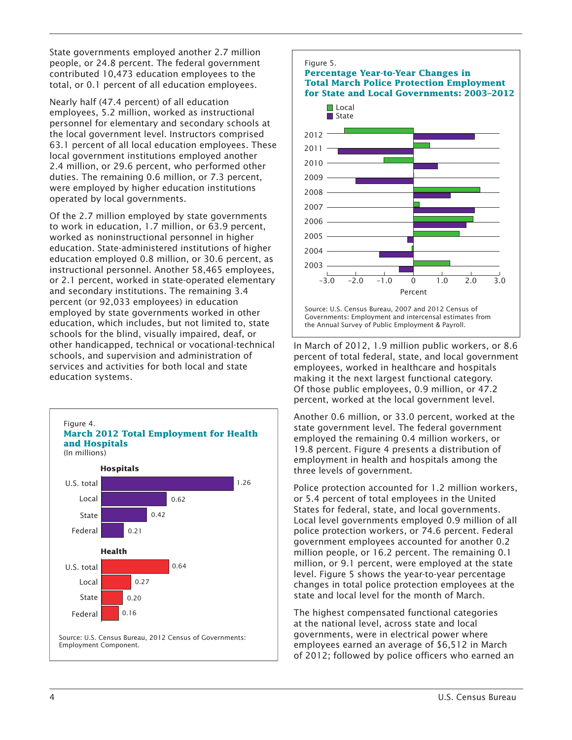State governments employed another 2.7 million people, or 24.8 percent. The federal government contributed 10,473 education employees to the total, or 0.1 percent of all education employees.

Nearly half (47.4 percent) of all education employees, 5.2 million, worked as instructional personnel for elementary and secondary schools at the local government level. Instructors comprised 63.1 percent of all local education employees. These local government institutions employed another 2.4 million, or 29.6 percent, who performed other duties. The remaining 0.6 million, or 7.3 percent, were employed by higher education institutions operated by local governments.

Of the 2.7 million employed by state governments to work in education, 1.7 million, or 63.9 percent, worked as noninstructional personnel in higher education. State-administered institutions of higher education employed 0.8 million, or 30.6 percent, as instructional personnel. Another 58,465 employees, or 2.1 percent, worked in state-operated elementary and secondary institutions. The remaining 3.4 percent (or 92,033 employees) in education employed by state governments worked in other education, which includes, but not limited to, state schools for the blind, visually impaired, deaf, or other handicapped, technical or vocational-technical schools, and supervision and administration of services and activities for both local and state education systems.





In March of 2012, 1.9 million public workers, or 8.6 percent of total federal, state, and local government employees, worked in healthcare and hospitals making it the next largest functional category. Of those public employees, 0.9 million, or 47.2 percent, worked at the local government level.

Another 0.6 million, or 33.0 percent, worked at the state government level. The federal government employed the remaining 0.4 million workers, or 19.8 percent. Figure 4 presents a distribution of employment in health and hospitals among the three levels of government.

Police protection accounted for 1.2 million workers, or 5.4 percent of total employees in the United States for federal, state, and local governments. Local level governments employed 0.9 million of all police protection workers, or 74.6 percent. Federal government employees accounted for another 0.2 million people, or 16.2 percent. The remaining 0.1 million, or 9.1 percent, were employed at the state level. Figure 5 shows the year-to-year percentage changes in total police protection employees at the state and local level for the month of March.

The highest compensated functional categories at the national level, across state and local governments, were in electrical power where employees earned an average of \$6,512 in March of 2012; followed by police officers who earned an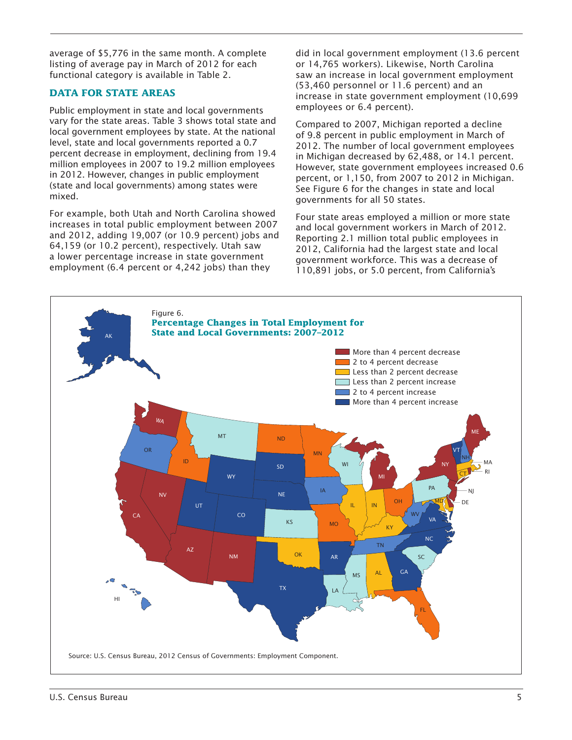average of \$5,776 in the same month. A complete listing of average pay in March of 2012 for each functional category is available in Table 2.

## **DATA FOR STATE AREAS**

Public employment in state and local governments vary for the state areas. Table 3 shows total state and local government employees by state. At the national level, state and local governments reported a 0.7 percent decrease in employment, declining from 19.4 million employees in 2007 to 19.2 million employees in 2012. However, changes in public employment (state and local governments) among states were mixed.

For example, both Utah and North Carolina showed increases in total public employment between 2007 and 2012, adding 19,007 (or 10.9 percent) jobs and 64,159 (or 10.2 percent), respectively. Utah saw a lower percentage increase in state government employment (6.4 percent or 4,242 jobs) than they

did in local government employment (13.6 percent or 14,765 workers). Likewise, North Carolina saw an increase in local government employment (53,460 personnel or 11.6 percent) and an increase in state government employment (10,699 employees or 6.4 percent).

Compared to 2007, Michigan reported a decline of 9.8 percent in public employment in March of 2012. The number of local government employees in Michigan decreased by 62,488, or 14.1 percent. However, state government employees increased 0.6 percent, or 1,150, from 2007 to 2012 in Michigan. See Figure 6 for the changes in state and local governments for all 50 states.

Four state areas employed a million or more state and local government workers in March of 2012. Reporting 2.1 million total public employees in 2012, California had the largest state and local government workforce. This was a decrease of 110,891 jobs, or 5.0 percent, from California's

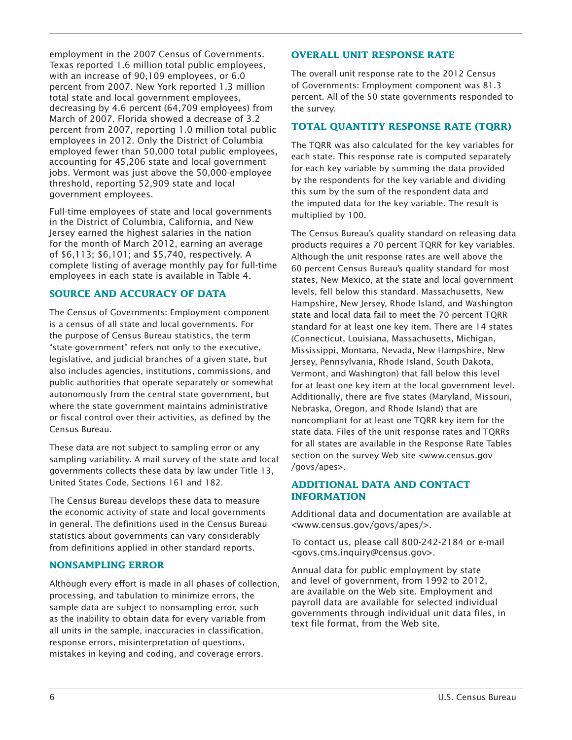employment in the 2007 Census of Governments. Texas reported 1.6 million total public employees, with an increase of 90,109 employees, or 6.0 percent from 2007. New York reported 1.3 million total state and local government employees, decreasing by 4.6 percent (64,709 employees) from March of 2007. Florida showed a decrease of 3.2 percent from 2007, reporting 1.0 million total public employees in 2012. Only the District of Columbia employed fewer than 50,000 total public employees, accounting for 45,206 state and local government jobs. Vermont was just above the 50,000-employee threshold, reporting 52,909 state and local government employees.

Full-time employees of state and local governments in the District of Columbia, California, and New Jersey earned the highest salaries in the nation for the month of March 2012, earning an average of \$6,113; \$6,101; and \$5,740, respectively. A complete listing of average monthly pay for full-time employees in each state is available in Table 4.

## **SOURCE AND ACCURACY OF DATA**

The Census of Governments: Employment component is a census of all state and local governments. For the purpose of Census Bureau statistics, the term "state government" refers not only to the executive, legislative, and judicial branches of a given state, but also includes agencies, institutions, commissions, and public authorities that operate separately or somewhat autonomously from the central state government, but where the state government maintains administrative or fiscal control over their activities, as defined by the Census Bureau.

These data are not subject to sampling error or any sampling variability. A mail survey of the state and local governments collects these data by law under Title 13, United States Code, Sections 161 and 182.

The Census Bureau develops these data to measure the economic activity of state and local governments in general. The definitions used in the Census Bureau statistics about governments can vary considerably from definitions applied in other standard reports.

### **NONSAMPLING ERROR**

Although every effort is made in all phases of collection, processing, and tabulation to minimize errors, the sample data are subject to nonsampling error, such as the inability to obtain data for every variable from all units in the sample, inaccuracies in classification, response errors, misinterpretation of questions, mistakes in keying and coding, and coverage errors.

#### **OVERALL UNIT RESPONSE RATE**

The overall unit response rate to the 2012 Census of Governments: Employment component was 81.3 percent. All of the 50 state governments responded to the survey.

#### **TOTAL QUANTITY RESPONSE RATE (TQRR)**

The TQRR was also calculated for the key variables for each state. This response rate is computed separately for each key variable by summing the data provided by the respondents for the key variable and dividing this sum by the sum of the respondent data and the imputed data for the key variable. The result is multiplied by 100.

The Census Bureau's quality standard on releasing data products requires a 70 percent TQRR for key variables. Although the unit response rates are well above the 60 percent Census Bureau's quality standard for most states, New Mexico, at the state and local government levels, fell below this standard. Massachusetts, New Hampshire, New Jersey, Rhode Island, and Washington state and local data fail to meet the 70 percent TQRR standard for at least one key item. There are 14 states (Connecticut, Louisiana, Massachusetts, Michigan, Mississippi, Montana, Nevada, New Hampshire, New Jersey, Pennsylvania, Rhode Island, South Dakota, Vermont, and Washington) that fall below this level for at least one key item at the local government level. Additionally, there are five states (Maryland, Missouri, Nebraska, Oregon, and Rhode Island) that are noncompliant for at least one TQRR key item for the state data. Files of the unit response rates and TQRRs for all states are available in the Response Rate Tables section on the survey Web site <www.census.gov /govs/apes>.

#### **ADDITIONAL DATA AND CONTACT INFORMATION**

Additional data and documentation are available at <www.census.gov/govs/apes/>.

To contact us, please call 800-242-2184 or e-mail <govs.cms.inquiry@census.gov>.

Annual data for public employment by state and level of government, from 1992 to 2012, are available on the Web site. Employment and payroll data are available for selected individual governments through individual unit data files, in text file format, from the Web site.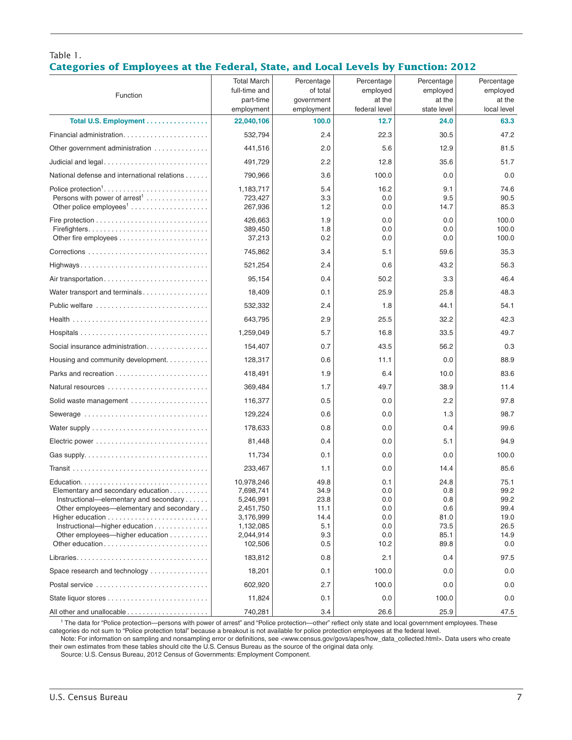## Table 1. **Categories of Employees at the Federal, State, and Local Levels by Function: 2012**

| Function                                                                                                                 | <b>Total March</b><br>full-time and<br>part-time               | Percentage<br>of total<br>government | Percentage<br>employed<br>at the<br>federal level | Percentage<br>employed<br>at the<br>state level | Percentage<br>employed<br>at the     |
|--------------------------------------------------------------------------------------------------------------------------|----------------------------------------------------------------|--------------------------------------|---------------------------------------------------|-------------------------------------------------|--------------------------------------|
| Total U.S. Employment                                                                                                    | employment<br>22,040,106                                       | employment<br>100.0                  | 12.7                                              | 24.0                                            | local level<br>63.3                  |
| Financial administration                                                                                                 | 532,794                                                        | 2.4                                  | 22.3                                              | 30.5                                            | 47.2                                 |
| Other government administration                                                                                          | 441,516                                                        | 2.0                                  | 5.6                                               | 12.9                                            | 81.5                                 |
|                                                                                                                          | 491,729                                                        | 2.2                                  | 12.8                                              | 35.6                                            | 51.7                                 |
| National defense and international relations                                                                             | 790,966                                                        | 3.6                                  | 100.0                                             | 0.0                                             | 0.0                                  |
| Persons with power of $arrest1$<br>Other police $employees1$                                                             | 1,183,717<br>723,427<br>267,936                                | 5.4<br>3.3<br>1.2                    | 16.2<br>0.0<br>0.0                                | 9.1<br>9.5<br>14.7                              | 74.6<br>90.5<br>85.3                 |
| Fire protection $\ldots \ldots \ldots \ldots \ldots \ldots \ldots \ldots \ldots$                                         | 426,663<br>389,450<br>37,213                                   | 1.9<br>1.8<br>0.2                    | 0.0<br>0.0<br>0.0                                 | 0.0<br>0.0<br>0.0                               | 100.0<br>100.0<br>100.0              |
|                                                                                                                          | 745,862                                                        | 3.4                                  | 5.1                                               | 59.6                                            | 35.3                                 |
|                                                                                                                          | 521,254                                                        | 2.4                                  | 0.6                                               | 43.2                                            | 56.3                                 |
| Air transportation                                                                                                       | 95,154                                                         | 0.4                                  | 50.2                                              | 3.3                                             | 46.4                                 |
| Water transport and terminals                                                                                            | 18,409                                                         | 0.1                                  | 25.9                                              | 25.8                                            | 48.3                                 |
| Public welfare                                                                                                           | 532,332                                                        | 2.4                                  | 1.8                                               | 44.1                                            | 54.1                                 |
|                                                                                                                          | 643,795                                                        | 2.9                                  | 25.5                                              | 32.2                                            | 42.3                                 |
|                                                                                                                          | 1,259,049                                                      | 5.7                                  | 16.8                                              | 33.5                                            | 49.7                                 |
| Social insurance administration                                                                                          | 154,407                                                        | 0.7                                  | 43.5                                              | 56.2                                            | 0.3                                  |
| Housing and community development.                                                                                       | 128,317                                                        | 0.6                                  | 11.1                                              | 0.0                                             | 88.9                                 |
|                                                                                                                          | 418,491                                                        | 1.9                                  | 6.4                                               | 10.0                                            | 83.6                                 |
| Natural resources                                                                                                        | 369,484                                                        | 1.7                                  | 49.7                                              | 38.9                                            | 11.4                                 |
| Solid waste management                                                                                                   | 116,377                                                        | 0.5                                  | 0.0                                               | 2.2                                             | 97.8                                 |
| Sewerage                                                                                                                 | 129,224                                                        | 0.6                                  | 0.0                                               | 1.3                                             | 98.7                                 |
|                                                                                                                          | 178,633                                                        | 0.8                                  | 0.0                                               | 0.4                                             | 99.6                                 |
|                                                                                                                          | 81,448                                                         | 0.4                                  | 0.0                                               | 5.1                                             | 94.9                                 |
| Gas supply. $\ldots \ldots \ldots \ldots \ldots \ldots \ldots \ldots \ldots$                                             | 11,734                                                         | 0.1                                  | 0.0                                               | 0.0                                             | 100.0                                |
|                                                                                                                          | 233,467                                                        | 1.1                                  | 0.0                                               | 14.4                                            | 85.6                                 |
| Elementary and secondary education<br>Instructional—elementary and secondary<br>Other employees—elementary and secondary | 10,978,246<br>7,698,741<br>5,246,991<br>2,451,750<br>3,176,999 | 49.8<br>34.9<br>23.8<br>11.1<br>14.4 | 0.1<br>0.0<br>0.0<br>0.0<br>0.0                   | 24.8<br>0.8<br>0.8<br>0.6<br>81.0               | 75.1<br>99.2<br>99.2<br>99.4<br>19.0 |
| Instructional-higher education<br>Other employees—higher education                                                       | 1,132,085<br>2,044,914<br>102,506                              | 5.1<br>9.3<br>0.5                    | 0.0<br>0.0<br>10.2                                | 73.5<br>85.1<br>89.8                            | 26.5<br>14.9<br>0.0                  |
|                                                                                                                          | 183,812                                                        | 0.8                                  | 2.1                                               | 0.4                                             | 97.5                                 |
| Space research and technology                                                                                            | 18,201                                                         | 0.1                                  | 100.0                                             | 0.0                                             | 0.0                                  |
| Postal service                                                                                                           | 602,920                                                        | 2.7                                  | 100.0                                             | 0.0                                             | 0.0                                  |
|                                                                                                                          | 11,824                                                         | 0.1                                  | 0.0                                               | 100.0                                           | 0.0                                  |
|                                                                                                                          | 740,281                                                        | 3.4                                  | 26.6                                              | 25.9                                            | 47.5                                 |

<sup>1</sup> The data for "Police protection—persons with power of arrest" and "Police protection—other" reflect only state and local government employees. These categories do not sum to "Police protection total" because a breakout is not available for police protection employees at the federal level.

Note: For information on sampling and nonsampling error or definitions, see <www.census.gov/govs/apes/how\_data\_collected.html>. Data users who create their own estimates from these tables should cite the U.S. Census Bureau as the source of the original data only.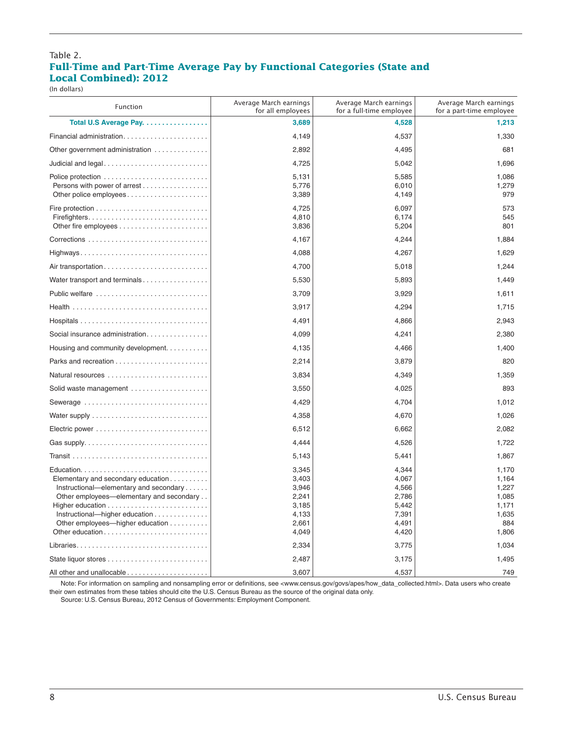#### Table 2. **Full-Time and Part-Time Average Pay by Functional Categories (State and Local Combined): 2012**

(In dollars)

| <b>Function</b>                                                                                                                                                                                                   | Average March earnings<br>for all employees                          | Average March earnings<br>for a full-time employee                   | Average March earnings<br>for a part-time employee                 |
|-------------------------------------------------------------------------------------------------------------------------------------------------------------------------------------------------------------------|----------------------------------------------------------------------|----------------------------------------------------------------------|--------------------------------------------------------------------|
| Total U.S Average Pay.                                                                                                                                                                                            | 3,689                                                                | 4,528                                                                | 1,213                                                              |
| Financial administration                                                                                                                                                                                          | 4,149                                                                | 4,537                                                                | 1,330                                                              |
| Other government administration                                                                                                                                                                                   | 2,892                                                                | 4,495                                                                | 681                                                                |
|                                                                                                                                                                                                                   | 4,725                                                                | 5,042                                                                | 1,696                                                              |
| Persons with power of arrest<br>Other police employees                                                                                                                                                            | 5,131<br>5,776<br>3,389                                              | 5,585<br>6,010<br>4,149                                              | 1,086<br>1,279<br>979                                              |
| Firefighters                                                                                                                                                                                                      | 4,725<br>4,810<br>3,836                                              | 6,097<br>6,174<br>5,204                                              | 573<br>545<br>801                                                  |
|                                                                                                                                                                                                                   | 4,167                                                                | 4,244                                                                | 1,884                                                              |
| Highways                                                                                                                                                                                                          | 4,088                                                                | 4,267                                                                | 1,629                                                              |
|                                                                                                                                                                                                                   | 4,700                                                                | 5,018                                                                | 1,244                                                              |
| Water transport and terminals                                                                                                                                                                                     | 5,530                                                                | 5,893                                                                | 1,449                                                              |
| Public welfare                                                                                                                                                                                                    | 3,709                                                                | 3,929                                                                | 1,611                                                              |
|                                                                                                                                                                                                                   | 3,917                                                                | 4,294                                                                | 1,715                                                              |
|                                                                                                                                                                                                                   | 4,491                                                                | 4,866                                                                | 2,943                                                              |
| Social insurance administration                                                                                                                                                                                   | 4,099                                                                | 4,241                                                                | 2,380                                                              |
| Housing and community development.                                                                                                                                                                                | 4,135                                                                | 4,466                                                                | 1,400                                                              |
|                                                                                                                                                                                                                   | 2,214                                                                | 3,879                                                                | 820                                                                |
|                                                                                                                                                                                                                   | 3,834                                                                | 4,349                                                                | 1,359                                                              |
| Solid waste management                                                                                                                                                                                            | 3,550                                                                | 4,025                                                                | 893                                                                |
| Sewerage                                                                                                                                                                                                          | 4,429                                                                | 4,704                                                                | 1,012                                                              |
|                                                                                                                                                                                                                   | 4,358                                                                | 4,670                                                                | 1,026                                                              |
|                                                                                                                                                                                                                   | 6,512                                                                | 6,662                                                                | 2,082                                                              |
|                                                                                                                                                                                                                   | 4,444                                                                | 4,526                                                                | 1,722                                                              |
|                                                                                                                                                                                                                   | 5,143                                                                | 5,441                                                                | 1,867                                                              |
| Elementary and secondary education<br>Instructional—elementary and secondary<br>Other employees—elementary and secondary<br>Instructional—higher education<br>Other employees—higher education<br>Other education | 3,345<br>3,403<br>3,946<br>2,241<br>3,185<br>4,133<br>2,661<br>4,049 | 4,344<br>4,067<br>4,566<br>2,786<br>5,442<br>7,391<br>4,491<br>4,420 | 1,170<br>1,164<br>1,227<br>1,085<br>1,171<br>1,635<br>884<br>1,806 |
| Libraries                                                                                                                                                                                                         | 2,334                                                                | 3,775                                                                | 1,034                                                              |
|                                                                                                                                                                                                                   | 2,487                                                                | 3,175                                                                | 1,495                                                              |
|                                                                                                                                                                                                                   | 3,607                                                                | 4,537                                                                | 749                                                                |

Note: For information on sampling and nonsampling error or definitions, see <www.census.gov/govs/apes/how\_data\_collected.html>. Data users who create their own estimates from these tables should cite the U.S. Census Bureau as the source of the original data only.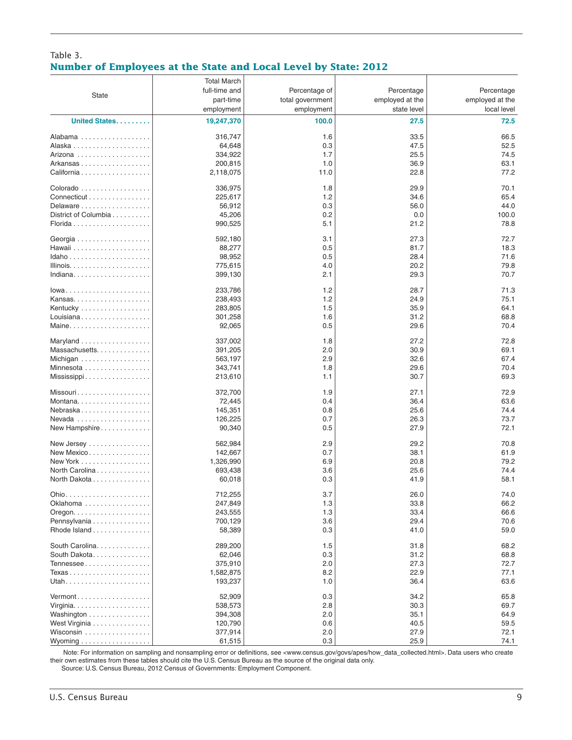#### Table 3. **Number of Employees at the State and Local Level by State: 2012**

|                                              | <b>Total March</b> |                  |                 |                 |
|----------------------------------------------|--------------------|------------------|-----------------|-----------------|
|                                              | full-time and      | Percentage of    | Percentage      | Percentage      |
| <b>State</b>                                 | part-time          | total government | employed at the | employed at the |
|                                              | employment         | employment       | state level     | local level     |
|                                              |                    |                  |                 |                 |
| United States                                | 19,247,370         | 100.0            | 27.5            | 72.5            |
| Alabama                                      | 316,747            | 1.6              | 33.5            | 66.5            |
|                                              | 64,648             | 0.3              | 47.5            | 52.5            |
| Arizona                                      | 334,922            | 1.7              | 25.5            | 74.5            |
| Arkansas                                     | 200,815            | 1.0              | 36.9            | 63.1            |
| California                                   | 2,118,075          | 11.0             | 22.8            | 77.2            |
|                                              |                    |                  |                 |                 |
| Colorado                                     | 336,975            | 1.8              | 29.9            | 70.1            |
| Connecticut                                  | 225,617            | 1.2              | 34.6            | 65.4            |
| Delaware                                     | 56,912             | 0.3              | 56.0            | 44.0            |
| District of Columbia                         | 45,206             | 0.2              | 0.0             | 100.0           |
|                                              | 990,525            | 5.1              | 21.2            | 78.8            |
|                                              |                    |                  |                 |                 |
|                                              | 592,180            | 3.1              | 27.3            | 72.7            |
|                                              | 88,277             | 0.5              | 81.7            | 18.3            |
|                                              | 98,952             | 0.5              | 28.4            | 71.6            |
|                                              | 775,615            | 4.0              | 20.2            | 79.8            |
| Indiana                                      | 399,130            | 2.1              | 29.3            | 70.7            |
|                                              |                    |                  |                 |                 |
| $lowa \ldots \ldots \ldots \ldots \ldots$    | 233,786            | 1.2              | 28.7            | 71.3            |
|                                              | 238,493            | 1.2              | 24.9            | 75.1            |
| Kentucky                                     | 283,805            | 1.5              | 35.9            | 64.1            |
| Louisiana                                    | 301,258            | 1.6              | 31.2            | 68.8            |
| Maine                                        | 92,065             | 0.5              | 29.6            | 70.4            |
| Maryland                                     | 337,002            | 1.8              | 27.2            | 72.8            |
| Massachusetts.                               | 391,205            | 2.0              | 30.9            | 69.1            |
| Michigan                                     | 563,197            | 2.9              | 32.6            | 67.4            |
| Minnesota                                    | 343,741            | 1.8              | 29.6            | 70.4            |
| $Miss is is p.$                              | 213,610            | 1.1              | 30.7            | 69.3            |
|                                              |                    |                  |                 |                 |
| Missouri                                     | 372,700            | 1.9              | 27.1            | 72.9            |
| Montana                                      | 72,445             | 0.4              | 36.4            | 63.6            |
| Nebraska                                     | 145,351            | 0.8              | 25.6            | 74.4            |
| Nevada                                       | 126,225            | 0.7              | 26.3            | 73.7            |
| New Hampshire                                | 90,340             | 0.5              | 27.9            | 72.1            |
|                                              |                    |                  |                 |                 |
| New Jersey                                   | 562,984            | 2.9              | 29.2            | 70.8            |
| New Mexico                                   | 142,667            | 0.7              | 38.1            | 61.9            |
| New York                                     | 1,326,990          | 6.9              | 20.8            | 79.2            |
| North Carolina                               | 693,438            | 3.6              | 25.6            | 74.4            |
| North Dakota                                 | 60,018             | 0.3              | 41.9            | 58.1            |
|                                              | 712,255            | 3.7              | 26.0            | 74.0            |
| Oklahoma                                     | 247,849            | 1.3              | 33.8            | 66.2            |
| Oregon. $\ldots \ldots \ldots \ldots \ldots$ | 243,555            | 1.3              | 33.4            | 66.6            |
| Pennsylvania                                 | 700,129            | 3.6              | 29.4            | 70.6            |
| Rhode Island                                 | 58,389             | 0.3              | 41.0            | 59.0            |
|                                              |                    |                  |                 |                 |
| South Carolina.                              | 289,200            | 1.5              | 31.8            | 68.2            |
| South Dakota.                                | 62,046             | 0.3              | 31.2            | 68.8            |
| Tennessee                                    | 375,910            | 2.0              | 27.3            | 72.7            |
| Texas                                        | 1,582,875          | 8.2              | 22.9            | 77.1            |
| Utah                                         | 193,237            | 1.0              | 36.4            | 63.6            |
|                                              |                    |                  |                 |                 |
| Vermont                                      | 52,909             | 0.3              | 34.2            | 65.8            |
|                                              | 538,573            | 2.8              | 30.3            | 69.7            |
| Washington                                   | 394,308            | 2.0              | 35.1            | 64.9            |
| West Virginia                                | 120,790            | 0.6              | 40.5            | 59.5            |
| Wisconsin                                    | 377,914            | 2.0              | 27.9            | 72.1            |
| Wyoming                                      | 61,515             | 0.3              | 25.9            | 74.1            |

 Note: For information on sampling and nonsampling error or definitions, see <www.census.gov/govs/apes/how\_data\_collected.html>. Data users who create their own estimates from these tables should cite the U.S. Census Bureau as the source of the original data only.